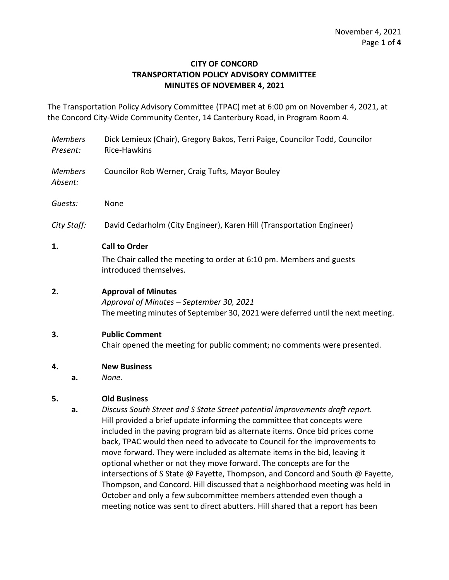#### **CITY OF CONCORD TRANSPORTATION POLICY ADVISORY COMMITTEE MINUTES OF NOVEMBER 4, 2021**

The Transportation Policy Advisory Committee (TPAC) met at 6:00 pm on November 4, 2021, at the Concord City-Wide Community Center, 14 Canterbury Road, in Program Room 4.

- *Members Present:* Dick Lemieux (Chair), Gregory Bakos, Terri Paige, Councilor Todd, Councilor Rice-Hawkins
- *Members*  Councilor Rob Werner, Craig Tufts, Mayor Bouley

*Absent:*

*Guests:* None

*City Staff:* David Cedarholm (City Engineer), Karen Hill (Transportation Engineer)

#### **1. Call to Order**

The Chair called the meeting to order at 6:10 pm. Members and guests introduced themselves.

#### **2. Approval of Minutes**

*Approval of Minutes – September 30, 2021* The meeting minutes of September 30, 2021 were deferred until the next meeting.

# **3. Public Comment**

Chair opened the meeting for public comment; no comments were presented.

#### **4. New Business**

**a.** *None.*

#### **5. Old Business**

**a.** *Discuss South Street and S State Street potential improvements draft report.* Hill provided a brief update informing the committee that concepts were included in the paving program bid as alternate items. Once bid prices come back, TPAC would then need to advocate to Council for the improvements to move forward. They were included as alternate items in the bid, leaving it optional whether or not they move forward. The concepts are for the intersections of S State @ Fayette, Thompson, and Concord and South @ Fayette, Thompson, and Concord. Hill discussed that a neighborhood meeting was held in October and only a few subcommittee members attended even though a meeting notice was sent to direct abutters. Hill shared that a report has been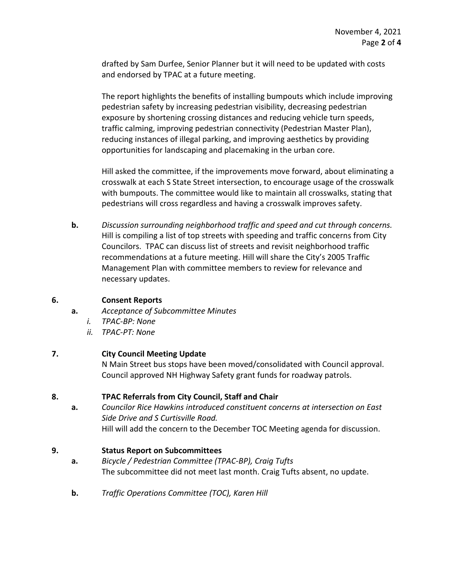drafted by Sam Durfee, Senior Planner but it will need to be updated with costs and endorsed by TPAC at a future meeting.

The report highlights the benefits of installing bumpouts which include improving pedestrian safety by increasing pedestrian visibility, decreasing pedestrian exposure by shortening crossing distances and reducing vehicle turn speeds, traffic calming, improving pedestrian connectivity (Pedestrian Master Plan), reducing instances of illegal parking, and improving aesthetics by providing opportunities for landscaping and placemaking in the urban core.

Hill asked the committee, if the improvements move forward, about eliminating a crosswalk at each S State Street intersection, to encourage usage of the crosswalk with bumpouts. The committee would like to maintain all crosswalks, stating that pedestrians will cross regardless and having a crosswalk improves safety.

**b.** *Discussion surrounding neighborhood traffic and speed and cut through concerns.* Hill is compiling a list of top streets with speeding and traffic concerns from City Councilors. TPAC can discuss list of streets and revisit neighborhood traffic recommendations at a future meeting. Hill will share the City's 2005 Traffic Management Plan with committee members to review for relevance and necessary updates.

# **6. Consent Reports**

- **a.** *Acceptance of Subcommittee Minutes*
	- *i. TPAC-BP: None*
	- *ii. TPAC-PT: None*

# **7. City Council Meeting Update**

N Main Street bus stops have been moved/consolidated with Council approval. Council approved NH Highway Safety grant funds for roadway patrols.

# **8. TPAC Referrals from City Council, Staff and Chair**

**a.** *Councilor Rice Hawkins introduced constituent concerns at intersection on East Side Drive and S Curtisville Road.*  Hill will add the concern to the December TOC Meeting agenda for discussion.

# **9. Status Report on Subcommittees**

- **a.** *Bicycle / Pedestrian Committee (TPAC-BP), Craig Tufts* The subcommittee did not meet last month. Craig Tufts absent, no update.
- **b.** *Traffic Operations Committee (TOC), Karen Hill*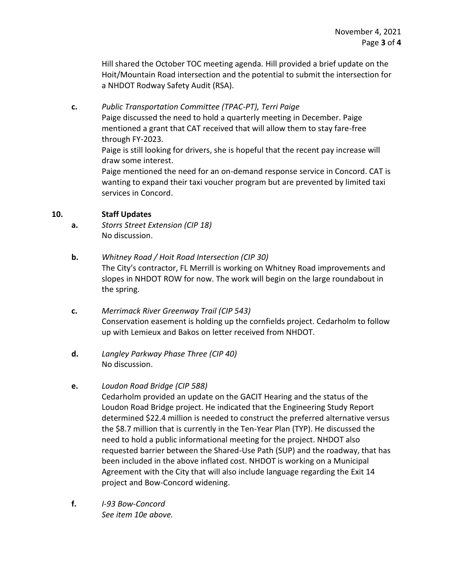Hill shared the October TOC meeting agenda. Hill provided a brief update on the Hoit/Mountain Road intersection and the potential to submit the intersection for a NHDOT Rodway Safety Audit (RSA).

**c.** *Public Transportation Committee (TPAC-PT), Terri Paige* Paige discussed the need to hold a quarterly meeting in December. Paige mentioned a grant that CAT received that will allow them to stay fare-free through FY-2023. Paige is still looking for drivers, she is hopeful that the recent pay increase will draw some interest.

Paige mentioned the need for an on-demand response service in Concord. CAT is wanting to expand their taxi voucher program but are prevented by limited taxi services in Concord.

#### **10. Staff Updates**

- **a.** *Storrs Street Extension (CIP 18)* No discussion.
- **b.** *Whitney Road / Hoit Road Intersection (CIP 30)* The City's contractor, FL Merrill is working on Whitney Road improvements and slopes in NHDOT ROW for now. The work will begin on the large roundabout in the spring.
- **c.** *Merrimack River Greenway Trail (CIP 543)* Conservation easement is holding up the cornfields project. Cedarholm to follow up with Lemieux and Bakos on letter received from NHDOT.
- **d.** *Langley Parkway Phase Three (CIP 40)* No discussion.

# **e.** *Loudon Road Bridge (CIP 588)*

Cedarholm provided an update on the GACIT Hearing and the status of the Loudon Road Bridge project. He indicated that the Engineering Study Report determined \$22.4 million is needed to construct the preferred alternative versus the \$8.7 million that is currently in the Ten-Year Plan (TYP). He discussed the need to hold a public informational meeting for the project. NHDOT also requested barrier between the Shared-Use Path (SUP) and the roadway, that has been included in the above inflated cost. NHDOT is working on a Municipal Agreement with the City that will also include language regarding the Exit 14 project and Bow-Concord widening.

**f.** *I-93 Bow-Concord See item 10e above.*